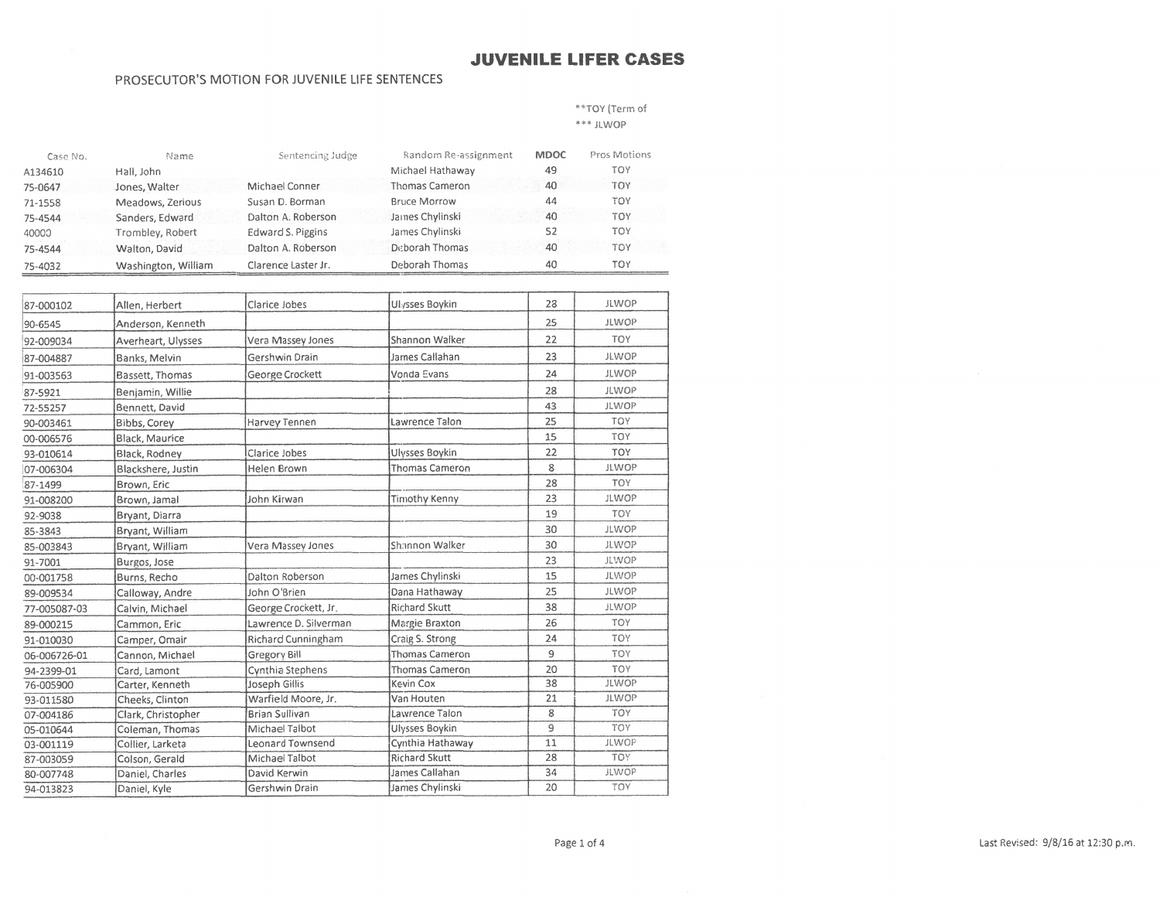#### PROSECUTOR'S MOTION FOR JUVENILE LIFE SENTENCES

\*\*TOY (Term of

\*\*\* JLWOP

| Case No. | Name                | Sentencing Judge    | Random Re-assignment  | <b>MDOC</b> | Pros Motions |
|----------|---------------------|---------------------|-----------------------|-------------|--------------|
| A134610  | Hall, John          |                     | Michael Hathaway      | 49          | TOY          |
| 75-0647  | Jones, Walter       | Michael Conner      | <b>Thomas Cameron</b> | 40          | TOY          |
| 71-1558  | Meadows, Zerious    | Susan D. Borman     | <b>Bruce Morrow</b>   | 44          | TOY          |
| 75-4544  | Sanders, Edward     | Dalton A. Roberson  | James Chylinski       | 40          | TOY          |
| 40000    | Trombley, Robert    | Edward S. Piggins   | James Chylinski       | 52          | <b>TOY</b>   |
| 75-4544  | Walton, David       | Dalton A. Roberson  | Deborah Thomas        | 40          | TOY          |
| 75-4032  | Washington, William | Clarence Laster Jr. | Deborah Thomas        | 40          | TOY          |

| 87-000102    | Allen, Herbert     | Clarice Jobes         | Ulysses Boykin        | 28             | <b>JLWOP</b> |
|--------------|--------------------|-----------------------|-----------------------|----------------|--------------|
| 90-6545      | Anderson, Kenneth  |                       |                       | 25             | <b>JLWOP</b> |
| 92-009034    | Averheart, Ulysses | Vera Massey Jones     | Shannon Walker        | 22             | <b>TOY</b>   |
| 87-004887    | Banks, Melvin      | Gershwin Drain        | James Callahan        | 23             | <b>JLWOP</b> |
| 91-003563    | Bassett, Thomas    | George Crockett       | Vonda Evans           | 24             | <b>JLWOP</b> |
| 87-5921      | Benjamin, Willie   |                       |                       | 28             | <b>JLWOP</b> |
| 72-55257     | Bennett, David     |                       |                       | 43             | <b>JLWOP</b> |
| 90-003461    | Bibbs, Corey       | Harvey Tennen         | Lawrence Talon        | 25             | <b>TOY</b>   |
| 00-006576    | Black. Maurice     |                       |                       | 15             | <b>TOY</b>   |
| 93-010614    | Black, Rodney      | Clarice Jobes         | Ulysses Boykin        | 22             | TOY          |
| 07-006304    | Blackshere, Justin | Helen Brown           | <b>Thomas Cameron</b> | 8              | <b>JLWOP</b> |
| 87-1499      | Brown, Eric        |                       |                       | 28             | <b>TOY</b>   |
| 91-008200    | Brown, Jamal       | John Kirwan           | <b>Timothy Kenny</b>  | 23             | <b>JLWOP</b> |
| 92-9038      | Bryant, Diarra     |                       |                       | 19             | <b>TOY</b>   |
| 85-3843      | Bryant, William    |                       |                       | 30             | <b>JLWOP</b> |
| 85-003843    | Bryant, William    | Vera Massey Jones     | Shannon Walker        | 30             | <b>JLWOP</b> |
| 91-7001      | Burgos, Jose       |                       |                       | 23             | <b>JLWOP</b> |
| 00-001758    | Burns, Recho       | Dalton Roberson       | James Chylinski       | 15             | <b>JLWOP</b> |
| 89-009534    | Calloway, Andre    | John O'Brien          | Dana Hathaway         | 25             | <b>JLWOP</b> |
| 77-005087-03 | Calvin, Michael    | George Crockett, Jr.  | <b>Richard Skutt</b>  | 38             | <b>JLWOP</b> |
| 89-000215    | Cammon, Eric       | Lawrence D. Silverman | Margie Braxton        | 26             | <b>TOY</b>   |
| 91-010030    | Camper, Omair      | Richard Cunningham    | Craig S. Strong       | 24             | TOY          |
| 06-006726-01 | Cannon, Michael    | Gregory Bill          | Thomas Cameron        | 9              | <b>TOY</b>   |
| 94-2399-01   | Card, Lamont       | Cynthia Stephens      | Thomas Cameron        | 20             | TOY          |
| 76-005900    | Carter, Kenneth    | Joseph Gillis         | Kevin Cox             | 38             | <b>JLWOP</b> |
| 93-011580    | Cheeks, Clinton    | Warfield Moore, Jr.   | Van Houten            | 21             | <b>JLWOP</b> |
| 07-004186    | Clark, Christopher | <b>Brian Sullivan</b> | Lawrence Talon        | 8              | <b>TOY</b>   |
| 05-010644    | Coleman, Thomas    | Michael Talbot        | Ulysses Boykin        | $\overline{9}$ | <b>TOY</b>   |
| 03-001119    | Collier, Larketa   | Leonard Townsend      | Cynthia Hathaway      | 11             | <b>JLWOP</b> |
| 87-003059    | Colson, Gerald     | Michael Talbot        | <b>Richard Skutt</b>  | 28             | <b>TOY</b>   |
| 80-007748    | Daniel, Charles    | David Kerwin          | James Callahan        | 34             | <b>JLWOP</b> |
| 94-013823    | Daniel, Kyle       | Gershwin Drain        | James Chylinski       | 20             | TOY          |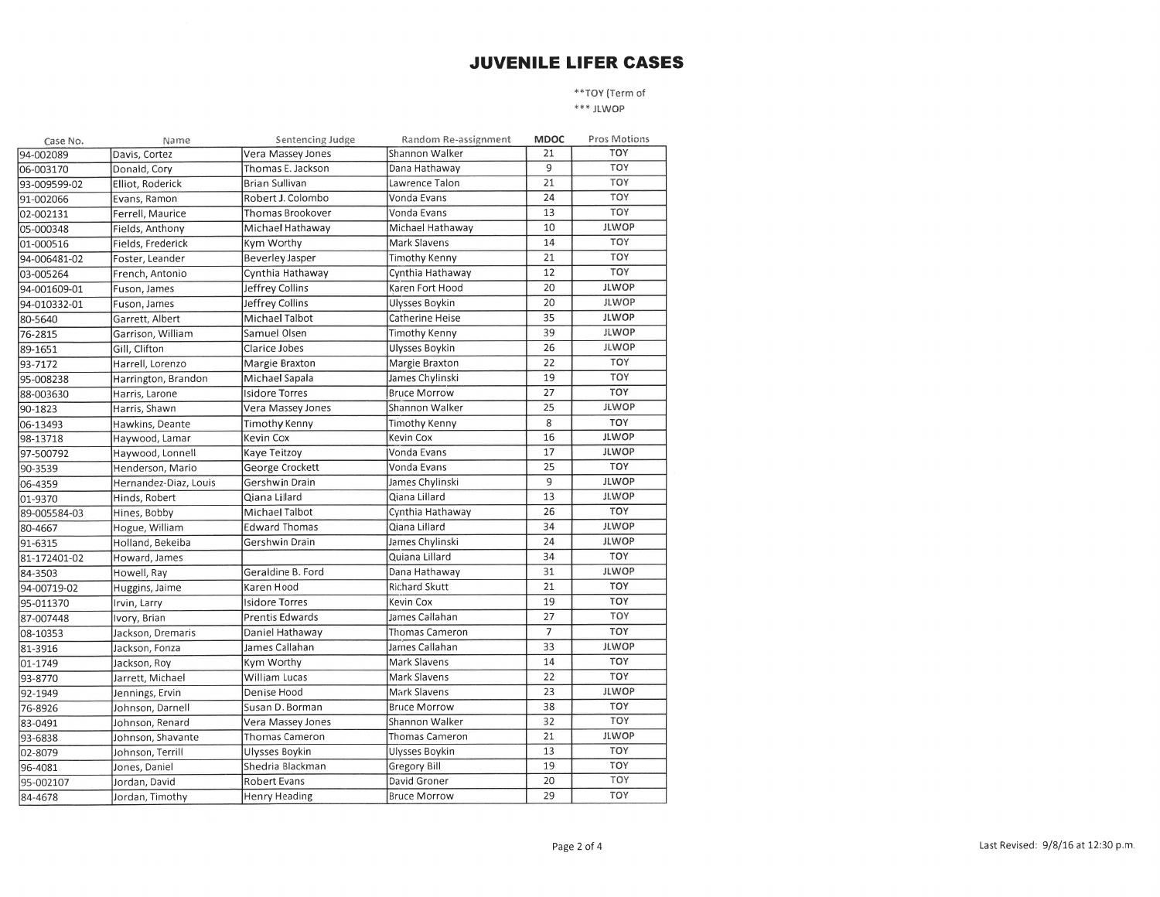\*\*TOY (Term of \*\*\* JLWOP

Random Re-assignment MDOC Pros Motions Case No. Name Sentencing Judge TOY Vera Massey Jones Shannon Walker 21 94-002089 Davis, Cortez 06-003170 Donald, Cory Thomas E. Jackson Dana Hathaway  $\overline{9}$ TOY  $21$ TOY 93-009599-02 Brian Sullivan Lawrence Talon Elliot, Roderick TOY 24 91-002066 Evans, Ramon Robert J. Colombo Vonda Evans Thomas Brookover Vonda Evans 13 TOY 02-002131 Ferrell, Maurice 10 **JLWOP** 05-000348 Fields, Anthony Michael Hathaway Michael Hathaway Kym Worthy Mark Slavens 14 TOY 01-000516 Fields, Frederick 21 TOY **Beverley Jasper Timothy Kenny** 94-006481-02 Foster, Leander 03-005264 French, Antonio Cynthia Hathaway Cynthia Hathaway 12 **TOY** Karen Fort Hood 20 **JLWOP** 94-001609-01 Fuson, James Jeffrey Collins  $\overline{20}$ **JLWOP** Jeffrey Collins **Ulysses Boykin** 94-010332-01 Fuson, James Catherine Heise 35 **JLWOP** Michael Talbot 80-5640 Garrett, Albert **JLWOP** 76-2815 Garrison, William Samuel Olsen Timothy Kenny 39 **JLWOP** Gill, Clifton Clarice Jobes Ulysses Boykin 26 89-1651 22 TOY 93-7172 Margie Braxton Margie Braxton Harrell, Lorenzo 19 TOY Harrington, Brandon Michael Sapala James Chylinski 95-008238 **Bruce Morrow** 27 TOY 88-003630 Harris, Larone Isidore Torres **JLWOP** Shannon Walker 25 90-1823 Harris, Shawn Vera Massey Jones Timothy Kenny 8 **TOY** 06-13493 Timothy Kenny Hawkins, Deante Kevin Cox Kevin Cox 16 **JLWOP** 98-13718 Haywood, Lamar  $17$ **JLWOP** Vonda Evans 97-500792 Haywood, Lonnell Kaye Teitzoy Vonda Evans 25 TOY George Crockett 90-3539 Henderson, Mario James Chylinski 9 **JLWOP** 06-4359 Hernandez-Diaz, Louis Gershwin Drain 13 **JLWOP** Hinds, Robert Qiana Lillard Qiana Lillard 01-9370 Michael Talbot Cynthia Hathaway 26 TOY 89-005584-03 Hines, Bobby **JLWOP Edward Thomas** Qiana Lillard 34 80-4667 Hogue, William  $91 - 6315$ Holland, Bekeiba Gershwin Drain James Chylinski 24 **JLWOP**  $34$ TOY Quiana Lillard 81-172401-02 Howard, James **JLWOP** 84-3503 Geraldine B. Ford Dana Hathaway 31 Howell, Ray Karen Hood **Richard Skutt** 21 TOY 94-00719-02 Huggins, Jaime TOY 95-011370 Isidore Torres Kevin Cox 19 Irvin, Larry James Callahan 27 TOY 87-007448 Ivory, Brian Prentis Edwards Thomas Cameron  $\overline{7}$ TOY 08-10353 Jackson, Dremaris Daniel Hathaway James Callahan 33 **JLWOP** James Callahan 81-3916 Jackson, Fonza Mark Slavens 14 **TOY** 01-1749 Jackson, Roy Kym Worthy 22 TOY **William Lucas** Mark Slavens 93-8770 Jarrett, Michael Mark Slavens 23 **JLWOP** 92-1949 Jennings, Ervin Denise Hood Susan D. Borman **Bruce Morrow** 38 TOY 76-8926 Johnson, Darnell Shannon Walker 32 TOY 83-0491 Johnson, Renard Vera Massey Jones 21 **JLWOP** Thomas Cameron Thomas Cameron 93-6838 Johnson, Shavante Ulysses Boykin 13 TOY 02-8079 Johnson, Terrill Ulysses Boykin Shedria Blackman 19 TOY 96-4081 Jones, Daniel Gregory Bill 20 David Groner TOY 95-002107 Jordan, David Robert Evans TOY Henry Heading **Bruce Morrow** 29 Jordan, Timothy 84-4678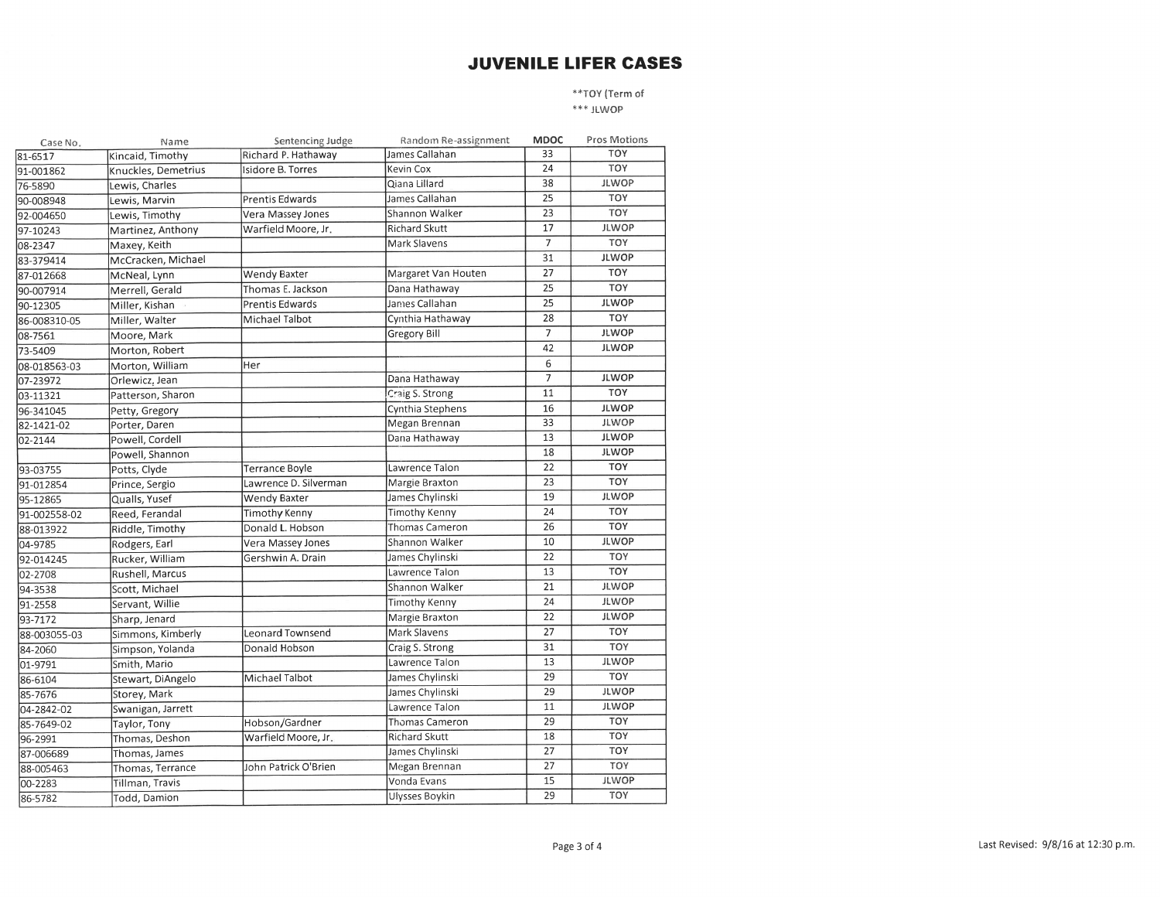\*\*TOY (Term of \*\*\* JLWOP

| Case No.     | Name                | Sentencing Judge       | Random Re-assignment  | <b>MDOC</b>     | Pros Motions |
|--------------|---------------------|------------------------|-----------------------|-----------------|--------------|
| 81-6517      | Kincaid, Timothy    | Richard P. Hathaway    | James Callahan        | 33              | TOY          |
| 91-001862    | Knuckles, Demetrius | Isidore B. Torres      | Kevin Cox             | 24              | TOY          |
| 76-5890      | Lewis, Charles      |                        | Qiana Lillard         | 38              | <b>JLWOP</b> |
| 90-008948    | Lewis, Marvin       | Prentis Edwards        | James Callahan        | 25              | TOY          |
| 92-004650    | Lewis, Timothy      | Vera Massey Jones      | Shannon Walker        | 23              | TOY          |
| 97-10243     | Martinez, Anthony   | Warfield Moore, Jr.    | <b>Richard Skutt</b>  | 17              | <b>JLWOP</b> |
| 08-2347      | Maxey, Keith        |                        | Mark Slavens          | $\overline{7}$  | TOY          |
| 83-379414    | McCracken, Michael  |                        |                       | 31              | <b>JLWOP</b> |
| 87-012668    | McNeal, Lynn        | <b>Wendy Baxter</b>    | Margaret Van Houten   | 27              | <b>TOY</b>   |
| 90-007914    | Merrell, Gerald     | Thomas E. Jackson      | Dana Hathaway         | 25              | TOY          |
| 90-12305     | Miller, Kishan      | <b>Prentis Edwards</b> | James Callahan        | 25              | <b>JLWOP</b> |
| 86-008310-05 | Miller, Walter      | Michael Talbot         | Cynthia Hathaway      | 28              | TOY          |
| 08-7561      | Moore, Mark         |                        | <b>Gregory Bill</b>   | $7\overline{ }$ | <b>JLWOP</b> |
| 73-5409      | Morton, Robert      |                        |                       | 42              | <b>JLWOP</b> |
| 08-018563-03 | Morton, William     | Her                    |                       | 6               |              |
| 07-23972     | Orlewicz, Jean      |                        | Dana Hathaway         | 7               | <b>JLWOP</b> |
| 03-11321     | Patterson, Sharon   |                        | Craig S. Strong       | 11              | TOY          |
| 96-341045    | Petty, Gregory      |                        | Cynthia Stephens      | 16              | <b>JLWOP</b> |
| 82-1421-02   | Porter, Daren       |                        | Megan Brennan         | 33              | <b>JLWOP</b> |
| 02-2144      | Powell, Cordell     |                        | Dana Hathaway         | 13              | <b>JLWOP</b> |
|              | Powell, Shannon     |                        |                       | 18              | <b>JLWOP</b> |
| 93-03755     | Potts, Clyde        | <b>Terrance Boyle</b>  | Lawrence Talon        | 22              | TOY          |
| 91-012854    | Prince, Sergio      | Lawrence D. Silverman  | Margie Braxton        | 23              | TOY          |
| 95-12865     | Qualls, Yusef       | Wendy Baxter           | James Chylinski       | 19              | <b>JLWOP</b> |
| 91-002558-02 | Reed, Ferandal      | Timothy Kenny          | <b>Timothy Kenny</b>  | 24              | TOY          |
| 88-013922    | Riddle, Timothy     | Donald L. Hobson       | Thomas Cameron        | 26              | TOY          |
| 04-9785      | Rodgers, Earl       | Vera Massey Jones      | Shannon Walker        | 10              | <b>JLWOP</b> |
| 92-014245    | Rucker, William     | Gershwin A. Drain      | James Chylinski       | 22              | TOY          |
| 02-2708      | Rushell, Marcus     |                        | Lawrence Talon        | 13              | TOY          |
| 94-3538      | Scott, Michael      |                        | Shannon Walker        | 21              | <b>JLWOP</b> |
| 91-2558      | Servant, Willie     |                        | Timothy Kenny         | 24              | <b>JLWOP</b> |
| 93-7172      | Sharp, Jenard       |                        | Margie Braxton        | 22              | <b>JLWOP</b> |
| 88-003055-03 | Simmons, Kimberly   | Leonard Townsend       | Mark Slavens          | 27              | <b>TOY</b>   |
| 84-2060      | Simpson, Yolanda    | Donald Hobson          | Craig S. Strong       | 31              | TOY          |
| 01-9791      | Smith, Mario        |                        | Lawrence Talon        | 13              | <b>JLWOP</b> |
| 86-6104      | Stewart, DiAngelo   | Michael Talbot         | James Chylinski       | 29              | TOY          |
| 85-7676      | Storey, Mark        |                        | James Chylinski       | 29              | <b>JLWOP</b> |
| 04-2842-02   | Swanigan, Jarrett   |                        | Lawrence Talon        | 11              | <b>JLWOP</b> |
| 85-7649-02   | Taylor, Tony        | Hobson/Gardner         | <b>Thomas Cameron</b> | 29              | TOY          |
| 96-2991      | Thomas, Deshon      | Warfield Moore, Jr.    | Richard Skutt         | 18              | TOY          |
| 87-006689    | Thomas, James       |                        | James Chylinski       | 27              | TOY          |
| 88-005463    | Thomas, Terrance    | John Patrick O'Brien   | Megan Brennan         | 27              | TOY          |
| 00-2283      | Tillman, Travis     |                        | Vonda Evans           | 15              | <b>JLWOP</b> |
| 86-5782      | Todd, Damion        |                        | Ulysses Boykin        | 29              | TOY          |
|              |                     |                        |                       |                 |              |